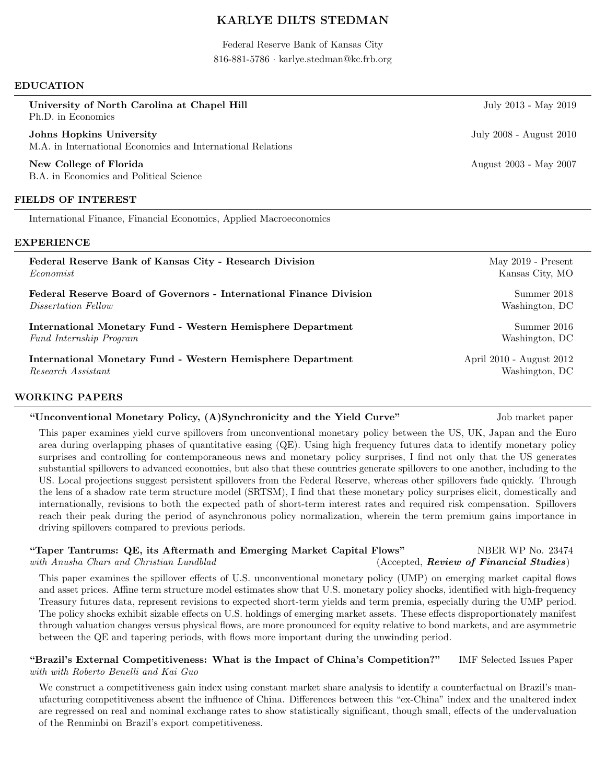# KARLYE DILTS STEDMAN

Federal Reserve Bank of Kansas City 816-881-5786 · karlye.stedman@kc.frb.org

#### EDUCATION

| July 2013 - May 2019                    |
|-----------------------------------------|
| July 2008 - August 2010                 |
| August 2003 - May 2007                  |
|                                         |
|                                         |
|                                         |
| May $2019$ - Present<br>Kansas City, MO |
| Summer 2018<br>Washington, DC           |
| Summer 2016                             |
|                                         |

International Monetary Fund - Western Hemisphere Department April 2010 - August 2012 Research Assistant Washington, DC

#### WORKING PAPERS

### "Unconventional Monetary Policy, (A)Synchronicity and the Yield Curve" Job market paper

This paper examines yield curve spillovers from unconventional monetary policy between the US, UK, Japan and the Euro area during overlapping phases of quantitative easing (QE). Using high frequency futures data to identify monetary policy surprises and controlling for contemporaneous news and monetary policy surprises, I find not only that the US generates substantial spillovers to advanced economies, but also that these countries generate spillovers to one another, including to the US. Local projections suggest persistent spillovers from the Federal Reserve, whereas other spillovers fade quickly. Through the lens of a shadow rate term structure model (SRTSM), I find that these monetary policy surprises elicit, domestically and internationally, revisions to both the expected path of short-term interest rates and required risk compensation. Spillovers reach their peak during the period of asynchronous policy normalization, wherein the term premium gains importance in driving spillovers compared to previous periods.

### "Taper Tantrums: QE, its Aftermath and Emerging Market Capital Flows" NBER WP No. 23474 with Anusha Chari and Christian Lundblad (Accepted, Review of Financial Studies)

This paper examines the spillover effects of U.S. unconventional monetary policy (UMP) on emerging market capital flows and asset prices. Affine term structure model estimates show that U.S. monetary policy shocks, identified with high-frequency Treasury futures data, represent revisions to expected short-term yields and term premia, especially during the UMP period. The policy shocks exhibit sizable effects on U.S. holdings of emerging market assets. These effects disproportionately manifest through valuation changes versus physical flows, are more pronounced for equity relative to bond markets, and are asymmetric between the QE and tapering periods, with flows more important during the unwinding period.

## "Brazil's External Competitiveness: What is the Impact of China's Competition?" IMF Selected Issues Paper with with Roberto Benelli and Kai Guo

We construct a competitiveness gain index using constant market share analysis to identify a counterfactual on Brazil's manufacturing competitiveness absent the influence of China. Differences between this "ex-China" index and the unaltered index are regressed on real and nominal exchange rates to show statistically significant, though small, effects of the undervaluation of the Renminbi on Brazil's export competitiveness.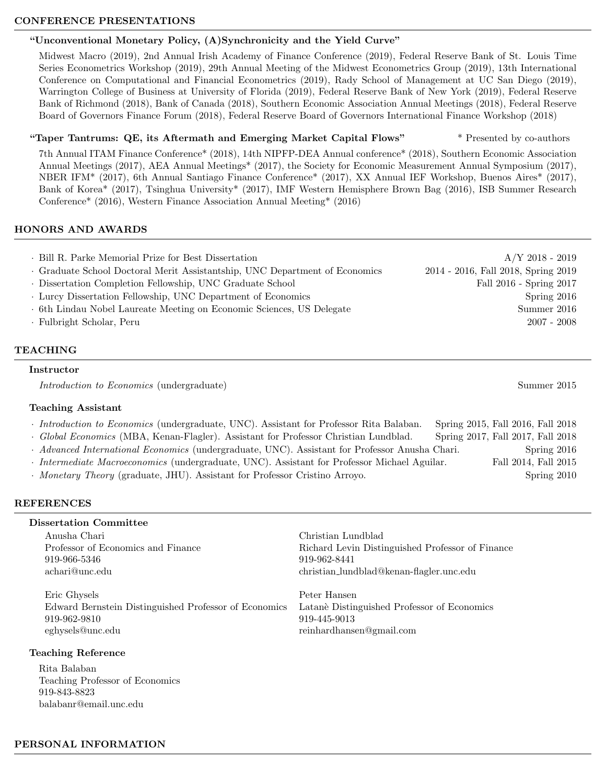### CONFERENCE PRESENTATIONS

### "Unconventional Monetary Policy, (A)Synchronicity and the Yield Curve"

Midwest Macro (2019), 2nd Annual Irish Academy of Finance Conference (2019), Federal Reserve Bank of St. Louis Time Series Econometrics Workshop (2019), 29th Annual Meeting of the Midwest Econometrics Group (2019), 13th International Conference on Computational and Financial Econometrics (2019), Rady School of Management at UC San Diego (2019), Warrington College of Business at University of Florida (2019), Federal Reserve Bank of New York (2019), Federal Reserve Bank of Richmond (2018), Bank of Canada (2018), Southern Economic Association Annual Meetings (2018), Federal Reserve Board of Governors Finance Forum (2018), Federal Reserve Board of Governors International Finance Workshop (2018)

## "Taper Tantrums: QE, its Aftermath and Emerging Market Capital Flows" \* Presented by co-authors

7th Annual ITAM Finance Conference\* (2018), 14th NIPFP-DEA Annual conference\* (2018), Southern Economic Association Annual Meetings (2017), AEA Annual Meetings\* (2017), the Society for Economic Measurement Annual Symposium (2017), NBER IFM\* (2017), 6th Annual Santiago Finance Conference\* (2017), XX Annual IEF Workshop, Buenos Aires\* (2017), Bank of Korea\* (2017), Tsinghua University\* (2017), IMF Western Hemisphere Brown Bag (2016), ISB Summer Research Conference\* (2016), Western Finance Association Annual Meeting\* (2016)

## HONORS AND AWARDS

| . Bill R. Parke Memorial Prize for Best Dissertation                        | $A/Y$ 2018 - 2019                   |
|-----------------------------------------------------------------------------|-------------------------------------|
| · Graduate School Doctoral Merit Assistantship, UNC Department of Economics | 2014 - 2016, Fall 2018, Spring 2019 |
| · Dissertation Completion Fellowship, UNC Graduate School                   | Fall 2016 - Spring 2017             |
| Lurcy Dissertation Fellowship, UNC Department of Economics                  | Spring $2016$                       |
| . 6th Lindau Nobel Laureate Meeting on Economic Sciences, US Delegate       | Summer 2016                         |
| · Fulbright Scholar, Peru                                                   | $2007 - 2008$                       |
|                                                                             |                                     |

## TEACHING

#### Instructor

Introduction to Economics (undergraduate) Summer 2015

### Teaching Assistant

· Introduction to Economics (undergraduate, UNC). Assistant for Professor Rita Balaban. Spring 2015, Fall 2016, Fall 2018

- · Global Economics (MBA, Kenan-Flagler). Assistant for Professor Christian Lundblad. Spring 2017, Fall 2017, Fall 2018
- · Advanced International Economics (undergraduate, UNC). Assistant for Professor Anusha Chari. Spring 2016
- · Intermediate Macroeconomics (undergraduate, UNC). Assistant for Professor Michael Aguilar. Fall 2014, Fall 2015
- · *Monetary Theory* (graduate, JHU). Assistant for Professor Cristino Arroyo. Spring 2010

# REFERENCES

# Dissertation Committee

Anusha Chari Christian Lundblad 919-966-5346 919-962-8441

Eric Ghysels Peter Hansen Edward Bernstein Distinguished Professor of Economics Latan`e Distinguished Professor of Economics 919-962-9810 919-445-9013 eghysels@unc.edu reinhardhansen@gmail.com

# Teaching Reference

Rita Balaban Teaching Professor of Economics 919-843-8823 balabanr@email.unc.edu

Professor of Economics and Finance Richard Levin Distinguished Professor of Finance achari@unc.edu christian lundblad@kenan-flagler.unc.edu